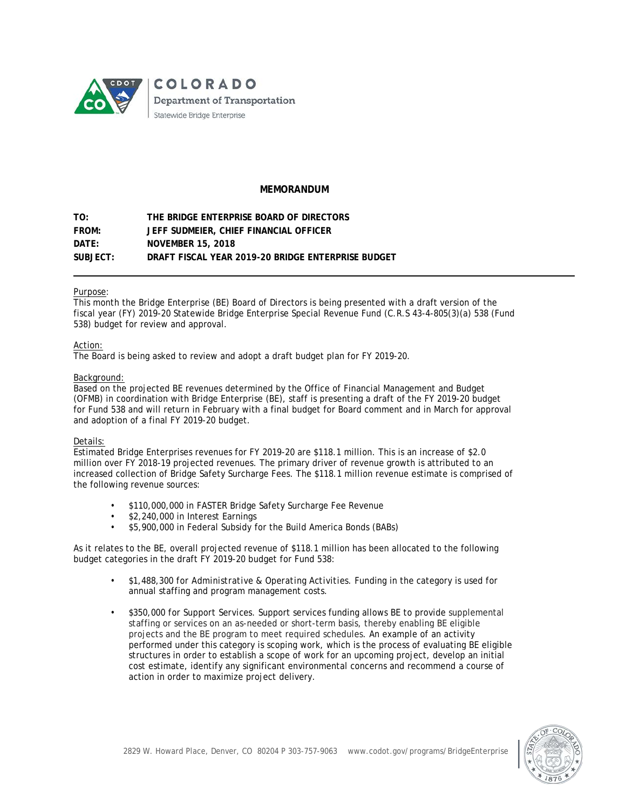

## **MEMORANDUM**

| TO:               | THE BRIDGE ENTERPRISE BOARD OF DIRECTORS           |
|-------------------|----------------------------------------------------|
| <b>FROM:</b>      | JEFF SUDMEIER, CHIEF FINANCIAL OFFICER             |
| $\mathsf{DATF}$ : | NOVEMBER 15, 2018                                  |
| SUBJECT:          | DRAFT FISCAL YEAR 2019-20 BRIDGE ENTERPRISE BUDGET |

### Purpose:

This month the Bridge Enterprise (BE) Board of Directors is being presented with a draft version of the fiscal year (FY) 2019-20 Statewide Bridge Enterprise Special Revenue Fund (C.R.S 43-4-805(3)(a) 538 (Fund 538) budget for review and approval.

### Action:

The Board is being asked to review and adopt a draft budget plan for FY 2019-20.

## Background:

Based on the projected BE revenues determined by the Office of Financial Management and Budget (OFMB) in coordination with Bridge Enterprise (BE), staff is presenting a draft of the FY 2019-20 budget for Fund 538 and will return in February with a final budget for Board comment and in March for approval and adoption of a final FY 2019-20 budget.

## Details:

Estimated Bridge Enterprises revenues for FY 2019-20 are \$118.1 million. This is an increase of \$2.0 million over FY 2018-19 projected revenues. The primary driver of revenue growth is attributed to an increased collection of Bridge Safety Surcharge Fees. The \$118.1 million revenue estimate is comprised of the following revenue sources:

- \$110,000,000 in FASTER Bridge Safety Surcharge Fee Revenue
- \$2,240,000 in Interest Earnings
- \$5,900,000 in Federal Subsidy for the Build America Bonds (BABs)

As it relates to the BE, overall projected revenue of \$118.1 million has been allocated to the following budget categories in the draft FY 2019-20 budget for Fund 538:

- *\$1,488,300 for Administrative & Operating Activities.* Funding in the category is used for annual staffing and program management costs.
- *\$350,000 for Support Services*. Support services funding allows BE to provide supplemental staffing or services on an as-needed or short-term basis, thereby enabling BE eligible projects and the BE program to meet required schedules. An example of an activity performed under this category is scoping work, which is the process of evaluating BE eligible structures in order to establish a scope of work for an upcoming project, develop an initial cost estimate, identify any significant environmental concerns and recommend a course of action in order to maximize project delivery.

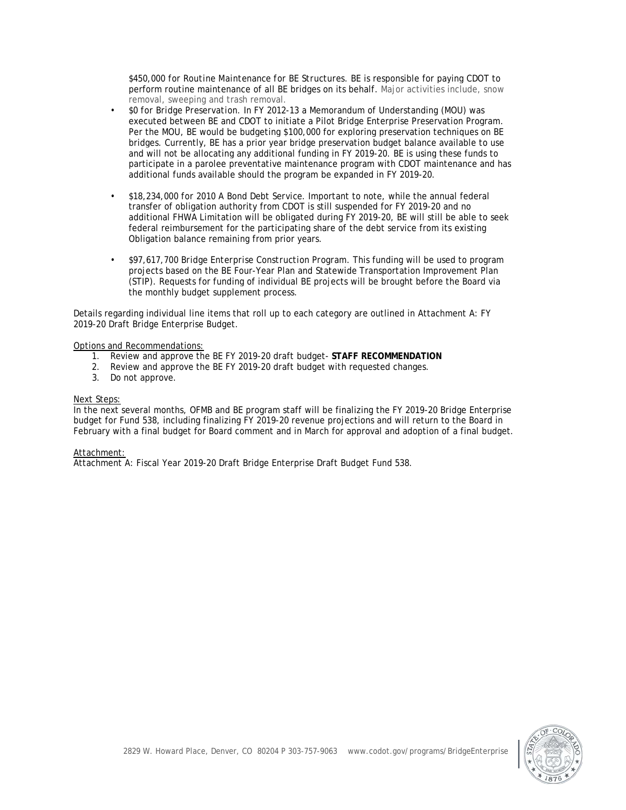*\$450,000 for Routine Maintenance for BE Structures*. BE is responsible for paying CDOT to perform routine maintenance of all BE bridges on its behalf. Major activities include, snow removal, sweeping and trash removal.

- *\$0 for Bridge Preservation.* In FY 2012-13 a Memorandum of Understanding (MOU) was executed between BE and CDOT to initiate a Pilot Bridge Enterprise Preservation Program. Per the MOU, BE would be budgeting \$100,000 for exploring preservation techniques on BE bridges. Currently, BE has a prior year bridge preservation budget balance available to use and will not be allocating any additional funding in FY 2019-20. BE is using these funds to participate in a parolee preventative maintenance program with CDOT maintenance and has additional funds available should the program be expanded in FY 2019-20.
- *\$18,234,000 for 2010 A Bond Debt Service*. Important to note, while the annual federal transfer of obligation authority from CDOT is still suspended for FY 2019-20 and no additional FHWA Limitation will be obligated during FY 2019-20, BE will still be able to seek federal reimbursement for the participating share of the debt service from its existing Obligation balance remaining from prior years.
- *\$97,617,700 Bridge Enterprise Construction Program.* This funding will be used to program projects based on the BE Four-Year Plan and Statewide Transportation Improvement Plan (STIP). Requests for funding of individual BE projects will be brought before the Board via the monthly budget supplement process.

Details regarding individual line items that roll up to each category are outlined in Attachment A: FY 2019-20 Draft Bridge Enterprise Budget.

## Options and Recommendations:

- 1. Review and approve the BE FY 2019-20 draft budget- **STAFF RECOMMENDATION**
- 2. Review and approve the BE FY 2019-20 draft budget with requested changes.
- 3. Do not approve.

## Next Steps:

In the next several months, OFMB and BE program staff will be finalizing the FY 2019-20 Bridge Enterprise budget for Fund 538, including finalizing FY 2019-20 revenue projections and will return to the Board in February with a final budget for Board comment and in March for approval and adoption of a final budget.

## Attachment:

Attachment A: Fiscal Year 2019-20 Draft Bridge Enterprise Draft Budget Fund 538.

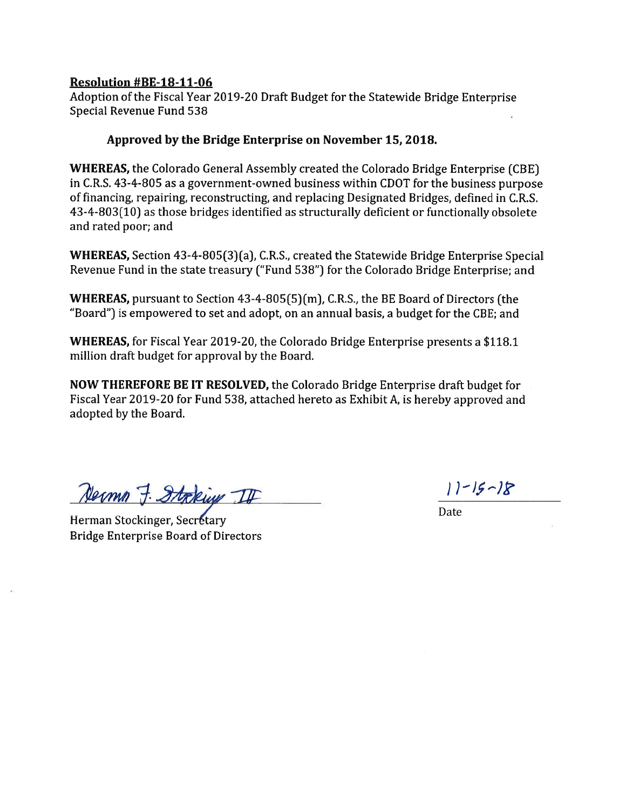## **Resolution #BE-18-11-06**

Adoption of the Fiscal Year 2019-20 Draft Budget for the Statewide Bridge Enterprise **Special Revenue Fund 538** 

# Approved by the Bridge Enterprise on November 15, 2018.

**WHEREAS, the Colorado General Assembly created the Colorado Bridge Enterprise (CBE)** in C.R.S. 43-4-805 as a government-owned business within CDOT for the business purpose of financing, repairing, reconstructing, and replacing Designated Bridges, defined in C.R.S. 43-4-803(10) as those bridges identified as structurally deficient or functionally obsolete and rated poor; and

**WHEREAS, Section 43-4-805(3)(a), C.R.S., created the Statewide Bridge Enterprise Special** Revenue Fund in the state treasury ("Fund 538") for the Colorado Bridge Enterprise; and

WHEREAS, pursuant to Section 43-4-805(5)(m), C.R.S., the BE Board of Directors (the "Board") is empowered to set and adopt, on an annual basis, a budget for the CBE; and

**WHEREAS, for Fiscal Year 2019-20, the Colorado Bridge Enterprise presents a \$118.1** million draft budget for approval by the Board.

**NOW THEREFORE BE IT RESOLVED, the Colorado Bridge Enterprise draft budget for** Fiscal Year 2019-20 for Fund 538, attached hereto as Exhibit A, is hereby approved and adopted by the Board.

Nerma J. Stocking IIF

Herman Stockinger, Secretary **Bridge Enterprise Board of Directors** 

 $11 - 15 - 18$ 

Date